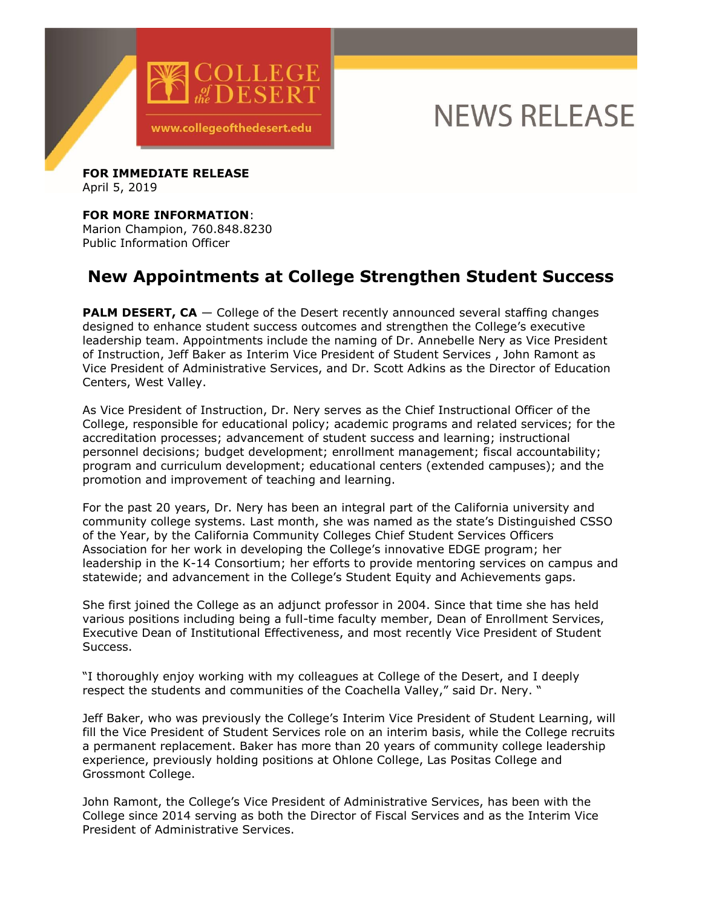

## **NEWS RELEASE**

**FOR IMMEDIATE RELEASE**  April 5, 2019

## **FOR MORE INFORMATION**:

Marion Champion, 760.848.8230 Public Information Officer

## **New Appointments at College Strengthen Student Success**

**PALM DESERT, CA** – College of the Desert recently announced several staffing changes designed to enhance student success outcomes and strengthen the College's executive leadership team. Appointments include the naming of Dr. Annebelle Nery as Vice President of Instruction, Jeff Baker as Interim Vice President of Student Services , John Ramont as Vice President of Administrative Services, and Dr. Scott Adkins as the Director of Education Centers, West Valley.

As Vice President of Instruction, Dr. Nery serves as the Chief Instructional Officer of the College, responsible for educational policy; academic programs and related services; for the accreditation processes; advancement of student success and learning; instructional personnel decisions; budget development; enrollment management; fiscal accountability; program and curriculum development; educational centers (extended campuses); and the promotion and improvement of teaching and learning.

For the past 20 years, Dr. Nery has been an integral part of the California university and community college systems. Last month, she was named as the state's Distinguished CSSO of the Year, by the California Community Colleges Chief Student Services Officers Association for her work in developing the College's innovative EDGE program; her leadership in the K-14 Consortium; her efforts to provide mentoring services on campus and statewide; and advancement in the College's Student Equity and Achievements gaps.

She first joined the College as an adjunct professor in 2004. Since that time she has held various positions including being a full-time faculty member, Dean of Enrollment Services, Executive Dean of Institutional Effectiveness, and most recently Vice President of Student Success.

"I thoroughly enjoy working with my colleagues at College of the Desert, and I deeply respect the students and communities of the Coachella Valley," said Dr. Nery. "

Jeff Baker, who was previously the College's Interim Vice President of Student Learning, will fill the Vice President of Student Services role on an interim basis, while the College recruits a permanent replacement. Baker has more than 20 years of community college leadership experience, previously holding positions at Ohlone College, Las Positas College and Grossmont College.

John Ramont, the College's Vice President of Administrative Services, has been with the College since 2014 serving as both the Director of Fiscal Services and as the Interim Vice President of Administrative Services.